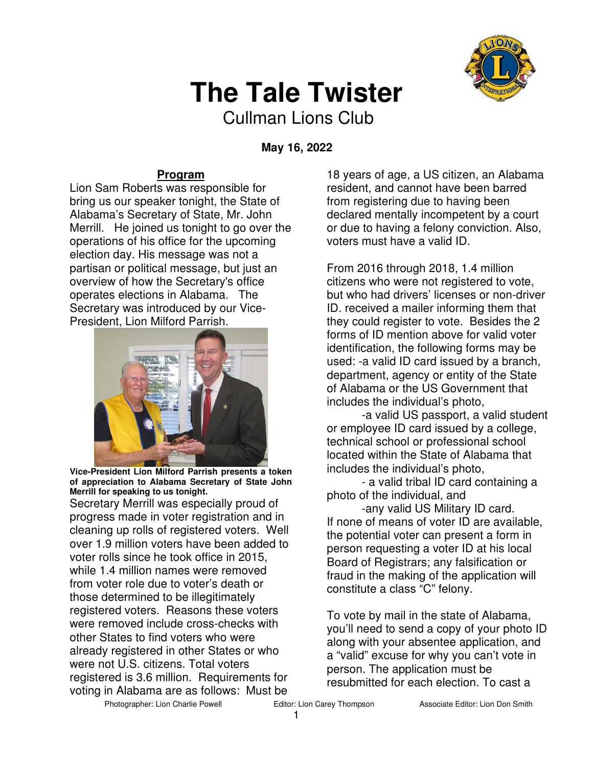

## **The Tale Twister**

Cullman Lions Club

 **May 16, 2022** 

### **Program**

Lion Sam Roberts was responsible for bring us our speaker tonight, the State of Alabama's Secretary of State, Mr. John Merrill. He joined us tonight to go over the operations of his office for the upcoming election day. His message was not a partisan or political message, but just an overview of how the Secretary's office operates elections in Alabama. The Secretary was introduced by our Vice-President, Lion Milford Parrish.



**Vice-President Lion Milford Parrish presents a token of appreciation to Alabama Secretary of State John Merrill for speaking to us tonight.** 

Secretary Merrill was especially proud of progress made in voter registration and in cleaning up rolls of registered voters. Well over 1.9 million voters have been added to voter rolls since he took office in 2015, while 1.4 million names were removed from voter role due to voter's death or those determined to be illegitimately registered voters. Reasons these voters were removed include cross-checks with other States to find voters who were already registered in other States or who were not U.S. citizens. Total voters registered is 3.6 million. Requirements for voting in Alabama are as follows: Must be

18 years of age, a US citizen, an Alabama resident, and cannot have been barred from registering due to having been declared mentally incompetent by a court or due to having a felony conviction. Also, voters must have a valid ID.

From 2016 through 2018, 1.4 million citizens who were not registered to vote, but who had drivers' licenses or non-driver ID. received a mailer informing them that they could register to vote. Besides the 2 forms of ID mention above for valid voter identification, the following forms may be used: -a valid ID card issued by a branch, department, agency or entity of the State of Alabama or the US Government that includes the individual's photo,

-a valid US passport, a valid student or employee ID card issued by a college, technical school or professional school located within the State of Alabama that includes the individual's photo,

- a valid tribal ID card containing a photo of the individual, and

-any valid US Military ID card. If none of means of voter ID are available, the potential voter can present a form in person requesting a voter ID at his local Board of Registrars; any falsification or fraud in the making of the application will constitute a class "C" felony.

To vote by mail in the state of Alabama, you'll need to send a copy of your photo ID along with your absentee application, and a "valid" excuse for why you can't vote in person. The application must be resubmitted for each election. To cast a

Photographer: Lion Charlie Powell **Editor: Lion Carey Thompson** Associate Editor: Lion Don Smith